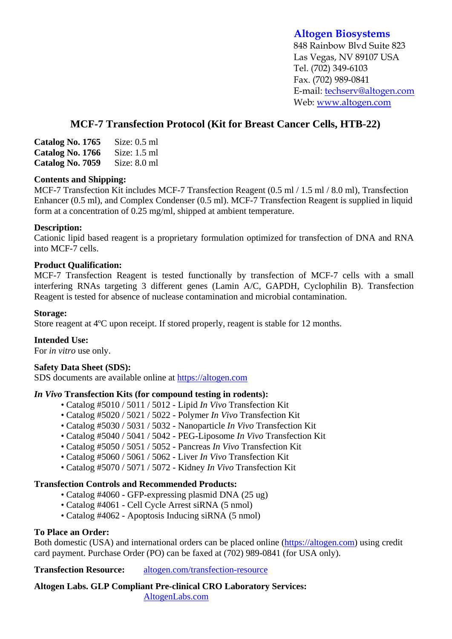# **Altogen Biosystems**

848 Rainbow Blvd Suite 823 Las Vegas, NV 89107 USA Tel. (702) 349-6103 Fax. (702) 989-0841 E-mail: techserv@altogen.com Web: www.altogen.com

# **MCF-7 Transfection Protocol (Kit for Breast Cancer Cells, HTB-22)**

| Catalog No. 1765 | Size: $0.5$ ml |
|------------------|----------------|
| Catalog No. 1766 | Size: $1.5$ ml |
| Catalog No. 7059 | Size: $8.0$ ml |

### **Contents and Shipping:**

MCF-7 Transfection Kit includes MCF-7 Transfection Reagent (0.5 ml / 1.5 ml / 8.0 ml), Transfection Enhancer (0.5 ml), and Complex Condenser (0.5 ml). MCF-7 Transfection Reagent is supplied in liquid form at a concentration of 0.25 mg/ml, shipped at ambient temperature.

# **Description:**

Cationic lipid based reagent is a proprietary formulation optimized for transfection of DNA and RNA into MCF-7 cells.

# **Product Qualification:**

MCF-7 Transfection Reagent is tested functionally by transfection of MCF-7 cells with a small interfering RNAs targeting 3 different genes (Lamin A/C, GAPDH, Cyclophilin B). Transfection Reagent is tested for absence of nuclease contamination and microbial contamination.

### **Storage:**

Store reagent at 4ºC upon receipt. If stored properly, reagent is stable for 12 months.

### **Intended Use:**

For *in vitro* use only.

### **Safety Data Sheet (SDS):**

SDS documents are available online at https://altogen.com

### *In Vivo* **Transfection Kits (for compound testing in rodents):**

- Catalog #5010 / 5011 / 5012 Lipid *In Vivo* Transfection Kit
- Catalog #5020 / 5021 / 5022 Polymer *In Vivo* Transfection Kit
- Catalog #5030 / 5031 / 5032 Nanoparticle *In Vivo* Transfection Kit
- Catalog #5040 / 5041 / 5042 PEG-Liposome *In Vivo* Transfection Kit
- Catalog #5050 / 5051 / 5052 Pancreas *In Vivo* Transfection Kit
- Catalog #5060 / 5061 / 5062 Liver *In Vivo* Transfection Kit
- Catalog #5070 / 5071 / 5072 Kidney *In Vivo* Transfection Kit

# **Transfection Controls and Recommended Products:**

- Catalog #4060 GFP-expressing plasmid DNA (25 ug)
- Catalog #4061 Cell Cycle Arrest siRNA (5 nmol)
- Catalog #4062 Apoptosis Inducing siRNA (5 nmol)

# **To Place an Order:**

Both domestic (USA) and international orders can be placed online (https://altogen.com) using credit card payment. Purchase Order (PO) can be faxed at (702) 989-0841 (for USA only).

**Transfection Resource:** altogen.com/transfection-resource

**Altogen Labs. GLP Compliant Pre-clinical CRO Laboratory Services:**  AltogenLabs.com